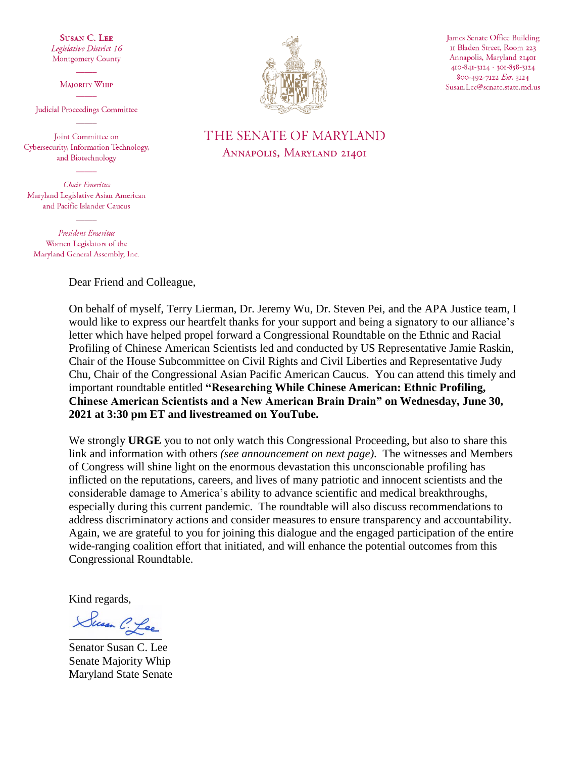**SUSAN C. LEE** Legislative District 16 Montgomery County

**MAJORITY WHIP** 

Judicial Proceedings Committee

Joint Committee on Cybersecurity, Information Technology, and Biotechnology

Chair Emeritus Maryland Legislative Asian American and Pacific Islander Caucus

**President Emeritus** Women Legislators of the Maryland General Assembly, Inc.

#### Dear Friend and Colleague,

On behalf of myself, Terry Lierman, Dr. Jeremy Wu, Dr. Steven Pei, and the APA Justice team, I would like to express our heartfelt thanks for your support and being a signatory to our alliance's letter which have helped propel forward a Congressional Roundtable on the Ethnic and Racial Profiling of Chinese American Scientists led and conducted by US Representative Jamie Raskin, Chair of the House Subcommittee on Civil Rights and Civil Liberties and Representative Judy Chu, Chair of the Congressional Asian Pacific American Caucus. You can attend this timely and important roundtable entitled **"Researching While Chinese American: Ethnic Profiling, Chinese American Scientists and a New American Brain Drain" on Wednesday, June 30, 2021 at 3:30 pm ET and livestreamed on YouTube.**

We strongly **URGE** you to not only watch this Congressional Proceeding, but also to share this link and information with others *(see announcement on next page)*. The witnesses and Members of Congress will shine light on the enormous devastation this unconscionable profiling has inflicted on the reputations, careers, and lives of many patriotic and innocent scientists and the considerable damage to America's ability to advance scientific and medical breakthroughs, especially during this current pandemic. The roundtable will also discuss recommendations to address discriminatory actions and consider measures to ensure transparency and accountability. Again, we are grateful to you for joining this dialogue and the engaged participation of the entire wide-ranging coalition effort that initiated, and will enhance the potential outcomes from this Congressional Roundtable.

Kind regards,

Susan C. Lee

Senator Susan C. Lee Senate Majority Whip Maryland State Senate



James Senate Office Building II Bladen Street, Room 223 Annapolis, Maryland 21401 410-841-3124 · 301-858-3124 800-492-7122 Ext. 3124 Susan.Lee@senate.state.md.us

## THE SENATE OF MARYLAND ANNAPOLIS, MARYLAND 21401